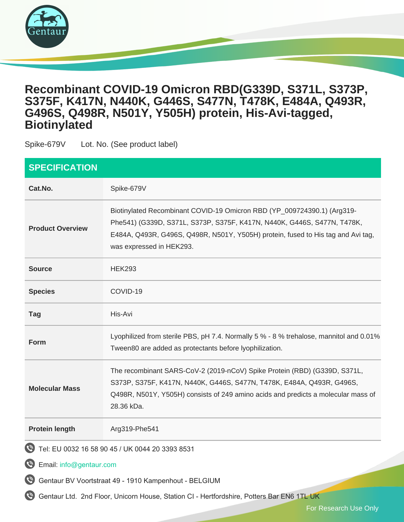

## **Recombinant COVID-19 Omicron RBD(G339D, S371L, S373P, S375F, K417N, N440K, G446S, S477N, T478K, E484A, Q493R, G496S, Q498R, N501Y, Y505H) protein, His-Avi-tagged, Biotinylated**

Spike-679V Lot. No. (See product label)

| <b>SPECIFICATION</b>                                  |                                                                                                                                                                                                                                                                    |
|-------------------------------------------------------|--------------------------------------------------------------------------------------------------------------------------------------------------------------------------------------------------------------------------------------------------------------------|
| Cat.No.                                               | Spike-679V                                                                                                                                                                                                                                                         |
| <b>Product Overview</b>                               | Biotinylated Recombinant COVID-19 Omicron RBD (YP_009724390.1) (Arg319-<br>Phe541) (G339D, S371L, S373P, S375F, K417N, N440K, G446S, S477N, T478K,<br>E484A, Q493R, G496S, Q498R, N501Y, Y505H) protein, fused to His tag and Avi tag,<br>was expressed in HEK293. |
| <b>Source</b>                                         | <b>HEK293</b>                                                                                                                                                                                                                                                      |
| <b>Species</b>                                        | COVID-19                                                                                                                                                                                                                                                           |
| <b>Tag</b>                                            | His-Avi                                                                                                                                                                                                                                                            |
| Form                                                  | Lyophilized from sterile PBS, pH 7.4. Normally 5 % - 8 % trehalose, mannitol and 0.01%<br>Tween80 are added as protectants before lyophilization.                                                                                                                  |
| <b>Molecular Mass</b>                                 | The recombinant SARS-CoV-2 (2019-nCoV) Spike Protein (RBD) (G339D, S371L,<br>S373P, S375F, K417N, N440K, G446S, S477N, T478K, E484A, Q493R, G496S,<br>Q498R, N501Y, Y505H) consists of 249 amino acids and predicts a molecular mass of<br>28.36 kDa.              |
| <b>Protein length</b>                                 | Arg319-Phe541                                                                                                                                                                                                                                                      |
| $\boldsymbol{\varphi}$                                | Tel: EU 0032 16 58 90 45 / UK 0044 20 3393 8531                                                                                                                                                                                                                    |
| $\boldsymbol{\varphi}$<br>Email: info@gentaur.com     |                                                                                                                                                                                                                                                                    |
| Gentaur BV Voortstraat 49 - 1910 Kampenhout - BELGIUM |                                                                                                                                                                                                                                                                    |

Gentaur Ltd. 2nd Floor, Unicorn House, Station CI - Hertfordshire, Potters Bar EN6 1TL UK